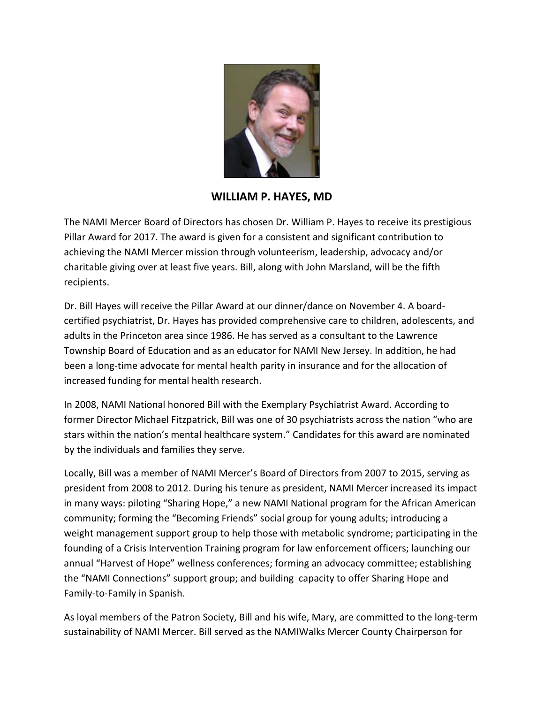

## **WILLIAM P. HAYES, MD**

The NAMI Mercer Board of Directors has chosen Dr. William P. Hayes to receive its prestigious Pillar Award for 2017. The award is given for a consistent and significant contribution to achieving the NAMI Mercer mission through volunteerism, leadership, advocacy and/or charitable giving over at least five years. Bill, along with John Marsland, will be the fifth recipients.

Dr. Bill Hayes will receive the Pillar Award at our dinner/dance on November 4. A boardcertified psychiatrist, Dr. Hayes has provided comprehensive care to children, adolescents, and adults in the Princeton area since 1986. He has served as a consultant to the Lawrence Township Board of Education and as an educator for NAMI New Jersey. In addition, he had been a long-time advocate for mental health parity in insurance and for the allocation of increased funding for mental health research.

In 2008, NAMI National honored Bill with the Exemplary Psychiatrist Award. According to former Director Michael Fitzpatrick, Bill was one of 30 psychiatrists across the nation "who are stars within the nation's mental healthcare system." Candidates for this award are nominated by the individuals and families they serve.

Locally, Bill was a member of NAMI Mercer's Board of Directors from 2007 to 2015, serving as president from 2008 to 2012. During his tenure as president, NAMI Mercer increased its impact in many ways: piloting "Sharing Hope," a new NAMI National program for the African American community; forming the "Becoming Friends" social group for young adults; introducing a weight management support group to help those with metabolic syndrome; participating in the founding of a Crisis Intervention Training program for law enforcement officers; launching our annual "Harvest of Hope" wellness conferences; forming an advocacy committee; establishing the "NAMI Connections" support group; and building capacity to offer Sharing Hope and Family-to-Family in Spanish.

As loyal members of the Patron Society, Bill and his wife, Mary, are committed to the long-term sustainability of NAMI Mercer. Bill served as the NAMIWalks Mercer County Chairperson for